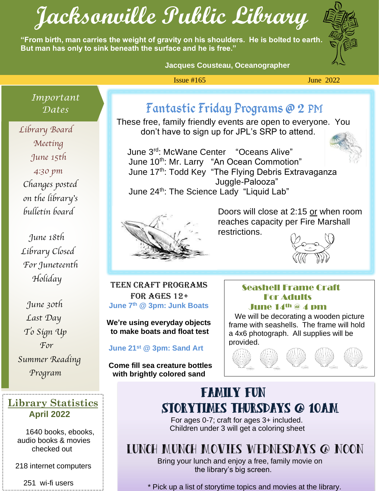# **Jacksonville Public Library**

**"From birth, man carries the weight of gravity on his shoulders. He is bolted to earth. But man has only to sink beneath the surface and he is free."**



#### **Jacques Cousteau, Oceanographer**

#### $\frac{1}{2}$  Issue #165 June 2022

*Important* 

 Library Board  Meeting **DEPA**  June 15th 4:30 pm Changes posted on the library's bulletin board

> June 18th Library Closed For Juneteenth Holiday

 June 30th Last Day To Sign Up For Summer Reading Program

#### **Library Statistics April 2022**

 1640 books, ebooks, audio books & movies checked out

218 internet computers

251 wi-fi users

...

# *Dates* Fantastic Friday Programs @ 2 PM

These free, family friendly events are open to everyone. You don't have to sign up for JPL's SRP to attend.

 June 3 rd: McWane Center "Oceans Alive" June 10<sup>th</sup>: Mr. Larry "An Ocean Commotion" June 17<sup>th</sup>: Todd Key "The Flying Debris Extravaganza Juggle-Palooza" June 24<sup>th</sup>: The Science Lady "Liquid Lab"



 Doors will close at 2:15 or when room **reaches capacity per Fire Marshall** restrictions.



 . Ĭ, **June 7th @ 3pm: Junk Boats** u Teen CRAFT PROGRAMS FOR AGES  $12+$ 

**We're using everyday objects to make boats and float test**

l **June 21st @ 3pm: Sand Art**

 **Come fill sea creature bottles with brightly colored sand**

#### Seashell Frame Craft For Adults June 14th @ 4 pm

 We will be decorating a wooden picture frame with seashells. The frame will hold a 4x6 photograph. All supplies will be



# Family Fun Storytimes Thursdays @ 10AM

For ages 0-7; craft for ages 3+ included. Children under 3 will get a coloring sheet

# Lunch Munch Movies Wednesdays @ Noon

 Bring your lunch and enjoy a free, family movie on the library's big screen.

\* Pick up a list of storytime topics and movies at the library.